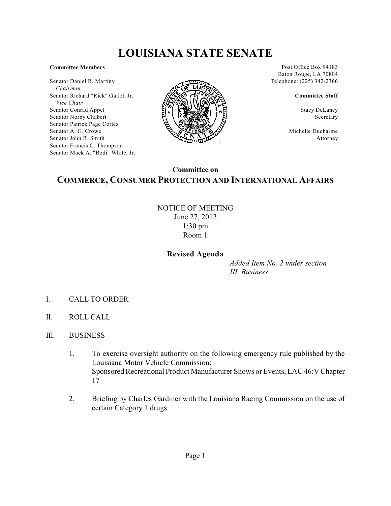# **LOUISIANA STATE SENATE**

#### **Committee Members**

Senator Daniel R. Martiny  *Chairman* Senator Richard "Rick" Gallot, Jr.  *Vice Chair* Senator Conrad Appel Senator Norby Chabert Senator Patrick Page Cortez Senator A. G. Crowe Senator John R. Smith Senator Francis C. Thompson Senator Mack A. "Bodi" White, Jr.



Post Office Box 94183 Baton Rouge, LA 70804 Telephone: (225) 342-2366

#### **Committee Staff**

Stacy DeLaney Secretary

Michelle Ducharme Attorney

## **Committee on COMMERCE, CONSUMER PROTECTION AND INTERNATIONAL AFFAIRS**

NOTICE OF MEETING June 27, 2012 1:30 pm Room 1

#### **Revised Agenda**

*Added Item No. 2 under section III. Business*

- I. CALL TO ORDER
- II. ROLL CALL
- III. BUSINESS
	- 1. To exercise oversight authority on the following emergency rule published by the Louisiana Motor Vehicle Commission: Sponsored Recreational Product Manufacturer Shows or Events, LAC 46:V Chapter 17
	- 2. Briefing by Charles Gardiner with the Louisiana Racing Commission on the use of certain Category 1 drugs